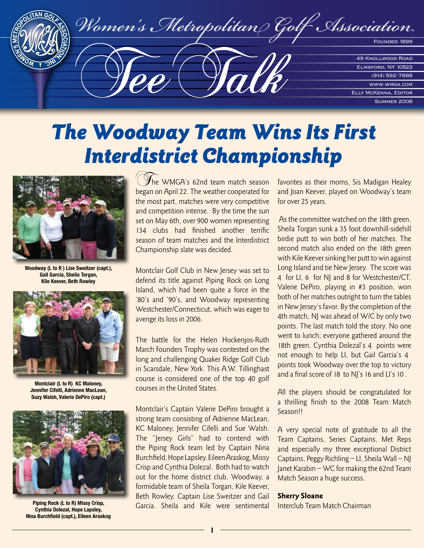

## The Woodway Team Wins Its First Interdistrict Championship



**Woodway (L to R ) Lise Sweitzer (capt.), Gail Garcia, Sheila Torgan, Kile Keever, Beth Rowley**



**Montclair (L to R) KC Maloney, Jennifer Cifelli, Adrienne MacLean, Suzy Walsh, Valerie DePiro (capt.)**



**Piping Rock (L to R) Missy Crisp, Cynthia Dolezal, Hope Lapsley, Nina Burchfield (capt.), Eileen Araskog**

 $\mathcal{Y}_{\text{he}}$  WMGA's 62nd team match season began on April 22. The weather cooperated for the most part, matches were very competitive and competition intense. By the time the sun set on May 6th, over 900 women representing 134 clubs had finished another terrific season of team matches and the Interdistrict Championship slate was decided.

Montclair Golf Club in New Jersey was set to defend its title against Piping Rock on Long Island, which had been quite a force in the '80's and '90's, and Woodway representing Westchester/Connecticut, which was eager to avenge its loss in 2006.

The battle for the Helen Hockenjos-Ruth March Founders Trophy was contested on the long and challenging Quaker Ridge Golf Club in Scarsdale, New York. This A.W. Tillinghast course is considered one of the top 40 golf courses in the United States.

Montclair's Captain Valerie DePiro brought a strong team consisting of Adrienne MacLean, KC Maloney, Jennifer Cifelli and Sue Walsh. The "Jersey Girls" had to contend with the Piping Rock team led by Captain Nina Burchfield, Hope Lapsley, Eileen Araskog, Missy Crisp and Cynthia Dolezal. Both had to watch out for the home district club, Woodway, a formidable team of Sheila Torgan, Kile Keever, Beth Rowley, Captain Lise Sweitzer and Gail Garcia. Sheila and Kile were sentimental favorites as their moms, Sis Madigan Healey and Joan Keever, played on Woodway's team for over 25 years.

 As the committee watched on the 18th green, Sheila Torgan sunk a 35 foot downhill-sidehill birdie putt to win both of her matches. The second match also ended on the 18th green with Kile Keever sinking her putt to win against Long Island and tie New Jersey. The score was 4 for LI, 6 for NJ and 8 for Westchester/CT. Valerie DePiro, playing in #3 position, won both of her matches outright to turn the tables in New Jersey's favor. By the completion of the 4th match, NJ was ahead of W/C by only two points. The last match told the story. No one went to lunch; everyone gathered around the 18th green. Cynthia Dolezal's 4 points were not enough to help LI, but Gail Garcia's 4 points took Woodway over the top to victory and a final score of 18 to NJ's 16 and LI's 10.

All the players should be congratulated for a thrilling finish to the 2008 Team Match Season!!

A very special note of gratitude to all the Team Captains, Series Captains, Met Reps and especially my three exceptional District Captains, Peggy Richling – LI, Sheila Wall – NJ Janet Karabin – WC for making the 62nd Team Match Season a huge success.

#### Sherry Sloane

Interclub Team Match Chairman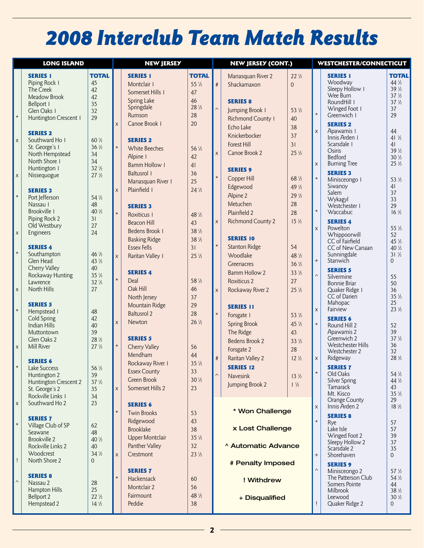# 2008 Interclub Team Match Results

| <b>LONG ISLAND</b> |                                           |                                | <b>NEW JERSEY</b>         |                        |                 | <b>NEW JERSEY (CONT.)</b> |                          |                 | WESTCHESTER/CONNECTICUT |                                 |                                    |
|--------------------|-------------------------------------------|--------------------------------|---------------------------|------------------------|-----------------|---------------------------|--------------------------|-----------------|-------------------------|---------------------------------|------------------------------------|
|                    | <b>SERIES I</b>                           | <b>TOTAL</b>                   |                           | <b>SERIES I</b>        | <b>TOTAL</b>    |                           |                          | $22\frac{1}{2}$ |                         | <b>SERIES 1</b>                 | <b>TOTAL</b>                       |
|                    | Piping Rock I                             | 45                             |                           |                        | $55\frac{1}{2}$ |                           | Manasquan River 2        |                 |                         | Woodway                         | $44\frac{1}{2}$                    |
|                    | The Creek                                 | 42                             |                           | Montclair I            |                 | #                         | Shackamaxon              | $\overline{0}$  |                         | Sleepy Hollow 1                 | $39\frac{1}{2}$                    |
|                    | Meadow Brook                              | 42                             |                           | Somerset Hills I       | 47              |                           |                          |                 |                         | Wee Burn                        | $37\frac{1}{2}$                    |
|                    | Bellport I                                | 35                             |                           | <b>Spring Lake</b>     | 46              |                           | <b>SERIES 8</b>          |                 |                         | RoundHill I                     | $37\frac{1}{2}$                    |
|                    | Glen Oaks I                               | 32                             |                           | Springdale             | $28\frac{1}{2}$ | $\boldsymbol{\wedge}$     | Jumping Brook I          | $53\frac{1}{2}$ |                         | Winged Foot I                   | 37                                 |
| $\star$            | Huntington Crescent I                     | 29                             |                           | Rumson                 | 28              |                           | <b>Richmond County I</b> | 40              | $\star$                 | Greenwich I                     | 29                                 |
|                    |                                           |                                | X                         | Canoe Brook I          | 20              |                           | Echo Lake                | 38              |                         | <b>SERIES 2</b>                 |                                    |
|                    | <b>SERIES 2</b>                           |                                |                           |                        |                 |                           |                          |                 | X                       | Apawamis I                      | 44                                 |
| $\mathsf{X}$       | Southward Ho I                            | $60\frac{1}{2}$                |                           | <b>SERIES 2</b>        |                 |                           | Knickerbocker            | 37              |                         | Innis Arden I                   | $41\frac{1}{2}$                    |
|                    | St. George's I                            | $36\frac{1}{2}$                | $\star$                   | White Beeches          | $56\frac{1}{2}$ |                           | <b>Forest Hill</b>       | 31              |                         | Scarsdale 1                     | 41                                 |
|                    | North Hempstead                           | 34                             |                           | Alpine I               |                 | $\pmb{\times}$            | Canoe Brook 2            | $25\frac{1}{2}$ |                         | Osiris                          | $39\frac{1}{2}$                    |
|                    | North Shore I                             | 34                             |                           |                        | 42              |                           |                          |                 |                         | Bedford<br><b>Burning Tree</b>  | $30\frac{1}{2}$<br>$25\frac{1}{2}$ |
|                    | Huntington I                              | $32\frac{1}{2}$                |                           | <b>Bamm Hollow I</b>   | 41              |                           | <b>SERIES 9</b>          |                 | X                       |                                 |                                    |
| $\mathsf{x}$       | Nissequogue                               | 27 <sup>1</sup> / <sub>2</sub> |                           | <b>Baltusrol I</b>     | 36              | $\star$                   | Copper Hill              | $68\frac{1}{2}$ | $\star$                 | <b>SERIES 3</b>                 |                                    |
|                    |                                           |                                |                           | Manasquan River I      | 25              |                           |                          |                 |                         | Minisceongo I                   | $53\frac{1}{2}$                    |
|                    | <b>SERIES 3</b>                           |                                | X                         | Plainfield I           | $24\frac{1}{2}$ |                           | Edgewood                 | 49 ½            |                         | Siwanoy<br>Salem                | 41<br>37                           |
| $\star$            | Port Jefferson                            | $54\frac{1}{2}$                |                           |                        |                 |                           | Alpine 2                 | $29\frac{1}{2}$ |                         | Wykagyl                         | 33                                 |
|                    | Nassau I                                  | 48                             |                           | <b>SERIES 3</b>        |                 |                           | Metuchen                 | 28              |                         | Westchester I                   | 29                                 |
|                    | Brookville I                              | 40 1/2                         | $\star$                   | Roxiticus I            | 48 1/2          |                           | Plainfield 2             | 28              | $\star$                 | Waccabuc                        | $16\frac{1}{2}$                    |
|                    | Piping Rock 2                             | 31                             |                           |                        |                 | $\pmb{\times}$            | <b>Richmond County 2</b> | $15\frac{1}{2}$ |                         | <b>SERIES 4</b>                 |                                    |
|                    | Old Westbury                              | 27                             |                           | <b>Beacon Hill</b>     | 43              |                           |                          |                 | $\mathsf{X}$            | Powelton                        | $55\frac{1}{2}$                    |
| $\mathsf X$        | Engineers                                 | 24                             |                           | <b>Bedens Brook 1</b>  | $38\frac{1}{2}$ |                           |                          |                 |                         | Whippoorwill                    | 52                                 |
|                    |                                           |                                |                           | <b>Basking Ridge</b>   | $38\frac{1}{2}$ |                           | <b>SERIES 10</b>         |                 |                         | CC of Fairfield                 | $45\frac{1}{2}$                    |
|                    | <b>SERIES 4</b>                           |                                |                           | <b>Essex Fells</b>     | 31              | $\star$                   | <b>Stanton Ridge</b>     | 54              |                         | CC of New Canaan                | 40 1/2                             |
| $\star$            | Southampton                               | 46 1/2                         | $\mathsf{x}$              | Raritan Valley I       | $25\frac{1}{2}$ |                           | Woodlake                 | 48 ½            |                         | Sunningdale                     | $31\frac{1}{2}$                    |
|                    | Glen Head                                 | 43 1/2                         |                           |                        |                 |                           | Greenacres               | $36\frac{1}{2}$ | $+$                     | Stanwich                        | $\Omega$                           |
|                    | Cherry Valley                             | 40                             |                           | <b>SERIES 4</b>        |                 |                           | <b>Bamm Hollow 2</b>     | $33\frac{1}{2}$ |                         | <b>SERIES 5</b>                 |                                    |
|                    | Rockaway Hunting                          | $35\frac{1}{2}$                | $\star$                   | Deal                   | $58\frac{1}{2}$ |                           | <b>Roxiticus 2</b>       | 27              | $\wedge$                | Silvermine                      | 55                                 |
|                    | Lawrence                                  | $32\frac{1}{2}$                |                           |                        |                 |                           |                          |                 |                         | <b>Bonnie Briar</b>             | 50                                 |
| $\mathsf X$        | North Hills                               | 27                             |                           | Oak Hill               | 46              | $\pmb{\times}$            | Rockaway River 2         | $25\frac{1}{2}$ |                         | Quaker Ridge 1                  | 36                                 |
|                    |                                           |                                |                           | North Jersey           | 37              |                           |                          |                 |                         | CC of Darien<br>Mahopac         | $35\frac{1}{2}$<br>25              |
| $\star$            | <b>SERIES 5</b>                           |                                |                           | Mountain Ridge         | 29              |                           | <b>SERIES 11</b>         |                 | X                       | Fairview                        | $23\frac{1}{2}$                    |
|                    | Hempstead I                               | 48                             |                           | <b>Baltusrol 2</b>     | 28              | $\star$                   | Forsgate I               | $53\frac{1}{2}$ |                         |                                 |                                    |
|                    | <b>Cold Spring</b><br><b>Indian Hills</b> | 42<br>40                       | $\boldsymbol{\mathsf{X}}$ | Newton                 | $26\frac{1}{2}$ |                           | <b>Spring Brook</b>      | 45 ½            | $\star$                 | <b>SERIES 6</b><br>Round Hill 2 | 52                                 |
|                    | Muttontown                                | 39                             |                           |                        |                 |                           | The Ridge                | 43              |                         | Apawamis 2                      | 39                                 |
|                    | Glen Oaks 2                               | 28 1/2                         |                           | <b>SERIES 5</b>        |                 |                           | <b>Bedens Brook 2</b>    | $33\frac{1}{2}$ |                         | Greenwich 2                     | $37\frac{1}{2}$                    |
| $\mathsf X$        | Mill River                                | $27\frac{1}{2}$                | $\star$                   | Cherry Valley          | 56              |                           |                          |                 |                         | Westchester Hills               | 36                                 |
|                    |                                           |                                |                           | Mendham                | 44              |                           | Forsgate 2               | 28              |                         | Westchester 2                   | 32                                 |
|                    | <b>SERIES 6</b>                           |                                |                           |                        |                 | $\#$                      | Raritan Valley 2         | $12\frac{1}{2}$ | $\mathsf X$             | Ridgeway                        | $28\frac{1}{2}$                    |
|                    | Lake Success                              | $56\frac{1}{2}$                |                           | Rockaway River I       | $35\frac{1}{2}$ |                           | <b>SERIES 12</b>         |                 |                         | <b>SERIES 7</b>                 |                                    |
|                    | Huntington 2                              | 39                             |                           | <b>Essex County</b>    | 33              | $\boldsymbol{\wedge}$     | <b>Navesink</b>          | $13\frac{1}{2}$ | $\star$                 | Old Oaks                        | $54\frac{1}{2}$                    |
|                    | Huntington Crescent 2                     | $37\frac{1}{2}$                |                           | <b>Green Brook</b>     | $30\frac{1}{2}$ |                           | Jumping Brook 2          | $1\frac{1}{2}$  |                         | Silver Spring                   | 44 ½                               |
|                    | St. George's 2                            | 35                             | X                         | Somerset Hills 2       | 23              |                           |                          |                 |                         | Tamarack                        | 43                                 |
|                    | Rockville Links 1                         | 34                             |                           |                        |                 |                           |                          |                 |                         | Mt. Kisco                       | $35\frac{1}{2}$<br>29              |
| $\mathsf X$        | Southward Ho 2                            | 23                             |                           | <b>SERIES 6</b>        |                 |                           |                          |                 | X                       | Orange County<br>Innis Arden 2  | $18\frac{1}{2}$                    |
|                    |                                           |                                | $\star$                   | <b>Twin Brooks</b>     | 53              |                           | * Won Challenge          |                 |                         |                                 |                                    |
|                    | <b>SERIES 7</b>                           |                                |                           | Ridgewood              | 43              |                           |                          |                 | $\star$                 | <b>SERIES 8</b>                 |                                    |
| $\star$            | Village Club of SP                        | 62                             |                           | <b>Brooklake</b>       | 38              |                           | x Lost Challenge         |                 |                         | Rye<br>Lake Isle                | 57<br>57                           |
|                    | <b>Seawane</b>                            | 48                             |                           |                        |                 |                           |                          |                 |                         | Winged Foot 2                   | 39                                 |
|                    | Brookville 2                              | $40\frac{1}{2}$                |                           | <b>Upper Montclair</b> | $35\frac{1}{2}$ |                           |                          |                 |                         | Sleepy Hollow 2                 | 37                                 |
|                    | Rockville Links 2                         | 40                             |                           | Panther Valley         | 32              |                           | Automatic Advance        |                 |                         | Scarsdale 2                     | 35                                 |
|                    | Woodcrest                                 | $34\frac{1}{2}$                | X                         | <b>Crestmont</b>       | $23\frac{1}{2}$ |                           |                          |                 | $\! + \!$               | Shorehaven                      | $\Omega$                           |
| Ţ                  | North Shore 2                             | $\Omega$                       |                           |                        |                 |                           | # Penalty Imposed        |                 |                         | <b>SERIES 9</b>                 |                                    |
|                    |                                           |                                |                           | <b>SERIES 7</b>        |                 |                           |                          |                 | $\boldsymbol{\wedge}$   | Minisceongo 2                   | $57\frac{1}{2}$                    |
| $\land$            | <b>SERIES 8</b>                           |                                | $\star$                   | Hackensack             | 60              |                           | ! Withdrew               |                 |                         | The Patterson Club              | $54\frac{1}{2}$                    |
|                    | Nassau 2                                  | 28                             |                           | Montclair 2            | 56              |                           |                          |                 |                         | Somers Pointe                   | 44                                 |
|                    | Hampton Hills                             | 25                             |                           | Fairmount              | 48 1/2          |                           |                          |                 |                         | <b>Milbrook</b>                 | $38\frac{1}{2}$                    |
|                    | <b>Bellport 2</b>                         | $22\frac{1}{2}$                |                           |                        |                 |                           | + Disqualified           |                 |                         | Leewood                         | $30\frac{1}{2}$                    |
|                    | Hempstead 2                               | $14\frac{1}{2}$                |                           | Peddie                 | 38              |                           |                          |                 |                         | Quaker Ridge 2                  | $\Omega$                           |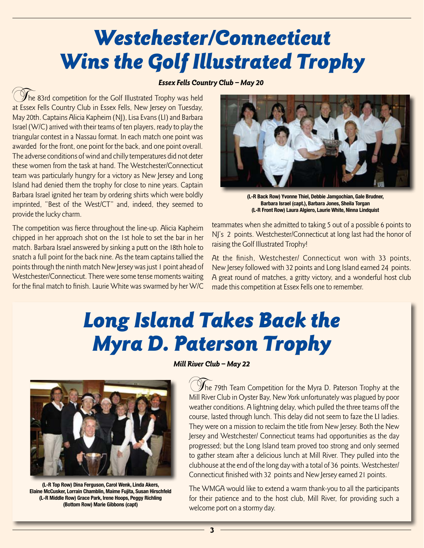# Westchester/Connecticut Wins the Golf Illustrated Trophy

### Essex Fells Country Club – May 20

 $\mathcal Y$ he 83rd competition for the Golf Illustrated Trophy was held at Essex Fells Country Club in Essex Fells, New Jersey on Tuesday, May 20th. Captains Alicia Kapheim (NJ), Lisa Evans (LI) and Barbara Israel (W/C) arrived with their teams of ten players, ready to play the triangular contest in a Nassau format. In each match one point was awarded for the front, one point for the back, and one point overall. The adverse conditions of wind and chilly temperatures did not deter these women from the task at hand. The Westchester/Connecticut team was particularly hungry for a victory as New Jersey and Long Island had denied them the trophy for close to nine years. Captain Barbara Israel ignited her team by ordering shirts which were boldly imprinted, "Best of the West/CT" and, indeed, they seemed to provide the lucky charm.

The competition was fierce throughout the line-up. Alicia Kapheim chipped in her approach shot on the 1st hole to set the bar in her match. Barbara Israel answered by sinking a putt on the 18th hole to snatch a full point for the back nine. As the team captains tallied the points through the ninth match New Jersey was just 1 point ahead of Westchester/Connecticut. There were some tense moments waiting for the final match to finish. Laurie White was swarmed by her W/C



**(L-R Back Row) Yvonne Thiel, Debbie Jamgochian, Gale Brudner, Barbara Israel (capt.), Barbara Jones, Sheila Torgan (L-R Front Row) Laura Algiero, Laurie White, Ninna Lindquist**

teammates when she admitted to taking 5 out of a possible 6 points to NJ's 2 points. Westchester/Connecticut at long last had the honor of raising the Golf Illustrated Trophy!

At the finish, Westchester/ Connecticut won with 33 points, New Jersey followed with 32 points and Long Island earned 24 points. A great round of matches, a gritty victory, and a wonderful host club made this competition at Essex Fells one to remember.

# Long Island Takes Back the Myra D. Paterson Trophy



**(L-R Top Row) Dina Ferguson, Carol Wenk, Linda Akers, Elaine McCusker, Lorrain Chamblin, Maime Fujita, Susan Hirschfeld (L-R Middle Row) Grace Park, Irene Hoops, Peggy Richling (Bottom Row) Marie Gibbons (capt)**

Mill River Club – May 22

The 79th Team Competition for the Myra D. Paterson Trophy at the Mill River Club in Oyster Bay, New York unfortunately was plagued by poor weather conditions. A lightning delay, which pulled the three teams off the course, lasted through lunch. This delay did not seem to faze the LI ladies. They were on a mission to reclaim the title from New Jersey. Both the New Jersey and Westchester/ Connecticut teams had opportunities as the day progressed; but the Long Island team proved too strong and only seemed to gather steam after a delicious lunch at Mill River. They pulled into the clubhouse at the end of the long day with a total of 36 points. Westchester/ Connecticut finished with 32 points and New Jersey earned 21 points.

The WMGA would like to extend a warm thank-you to all the participants for their patience and to the host club, Mill River, for providing such a welcome port on a stormy day.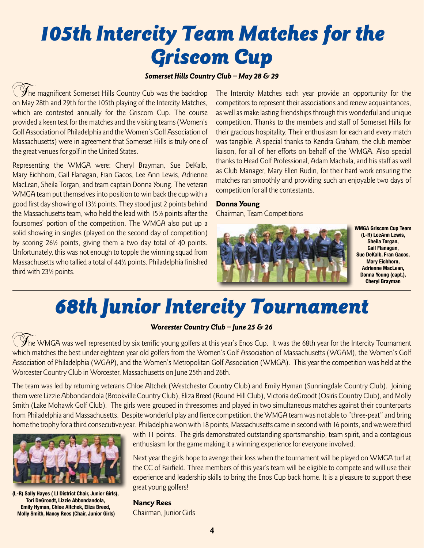# 105th Intercity Team Matches for the Griscom Cup

### Somerset Hills Country Club - May 28 & 29

 $\mathcal{Y}_{\mathsf{he}}$  magnificent Somerset Hills Country Cub was the backdrop on May 28th and 29th for the 105th playing of the Intercity Matches, which are contested annually for the Griscom Cup. The course provided a keen test for the matches and the visiting teams (Women's Golf Association of Philadelphia and the Women's Golf Association of Massachusetts) were in agreement that Somerset Hills is truly one of the great venues for golf in the United States.

Representing the WMGA were: Cheryl Brayman, Sue DeKalb, Mary Eichhorn, Gail Flanagan, Fran Gacos, Lee Ann Lewis, Adrienne MacLean, Sheila Torgan, and team captain Donna Young. The veteran WMGA team put themselves into position to win back the cup with a good first day showing of 131 ⁄2 points. They stood just 2 points behind the Massachusetts team, who held the lead with 151 ⁄2 points after the foursomes' portion of the competition. The WMGA also put up a solid showing in singles (played on the second day of competition) by scoring 261 ⁄2 points, giving them a two day total of 40 points. Unfortunately, this was not enough to topple the winning squad from Massachusetts who tallied a total of 441 ⁄2 points. Philadelphia finished third with 231 ⁄2 points.

The Intercity Matches each year provide an opportunity for the competitors to represent their associations and renew acquaintances, as well as make lasting friendships through this wonderful and unique competition. Thanks to the members and staff of Somerset Hills for their gracious hospitality. Their enthusiasm for each and every match was tangible. A special thanks to Kendra Graham, the club member liaison, for all of her efforts on behalf of the WMGA. Also special thanks to Head Golf Professional, Adam Machala, and his staff as well as Club Manager, Mary Ellen Rudin, for their hard work ensuring the matches ran smoothly and providing such an enjoyable two days of competition for all the contestants.

### Donna Young

Chairman, Team Competitions



**WMGA Griscom Cup Team (L-R) LeeAnn Lewis, Sheila Torgan, Gail Flanagan, Sue DeKalb, Fran Gacos, Mary Eichhorn, Adrienne MacLean, Donna Young (capt.), Cheryl Brayman**

## 68th Junior Intercity Tournament

### Worcester Country Club - June 25 & 26

 $\mathscr Y$ he WMGA was well represented by six terrific young golfers at this year's Enos Cup. It was the 68th year for the Intercity Tournament which matches the best under eighteen year old golfers from the Women's Golf Association of Massachusetts (WGAM), the Women's Golf Association of Philadelphia (WGAP), and the Women's Metropolitan Golf Association (WMGA). This year the competition was held at the Worcester Country Club in Worcester, Massachusetts on June 25th and 26th.

The team was led by returning veterans Chloe Altchek (Westchester Country Club) and Emily Hyman (Sunningdale Country Club). Joining them were Lizzie Abbondandola (Brookville Country Club), Eliza Breed (Round Hill Club), Victoria deGroodt (Osiris Country Club), and Molly Smith (Lake Mohawk Golf Club). The girls were grouped in threesomes and played in two simultaneous matches against their counterparts from Philadelphia and Massachusetts. Despite wonderful play and fierce competition, the WMGA team was not able to "three-peat" and bring home the trophy for a third consecutive year. Philadelphia won with 18 points, Massachusetts came in second with 16 points, and we were third



**(L-R) Sally Hayes ( LI District Chair, Junior Girls), Tori DeGroodt, Lizzie Abbondandola, Emily Hyman, Chloe Altchek, Eliza Breed, Molly Smith, Nancy Rees (Chair, Junior Girls)**

with 11 points. The girls demonstrated outstanding sportsmanship, team spirit, and a contagious enthusiasm for the game making it a winning experience for everyone involved.

Next year the girls hope to avenge their loss when the tournament will be played on WMGA turf at the CC of Fairfield. Three members of this year's team will be eligible to compete and will use their experience and leadership skills to bring the Enos Cup back home. It is a pleasure to support these great young golfers!

### Nancy Rees

Chairman, Junior Girls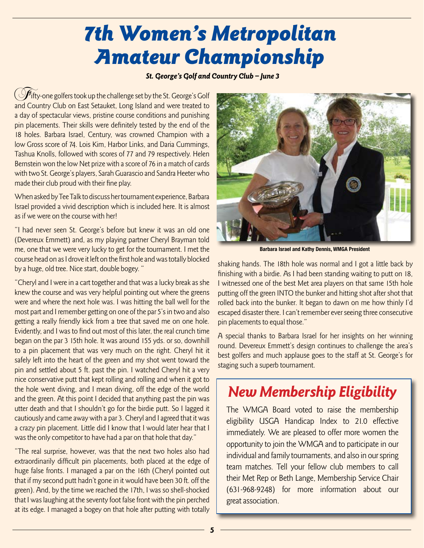## 7th Women's Metropolitan Amateur Championship

### St. George's Golf and Country Club – June 3

 $\zeta$  of  $f$ ifty-one golfers took up the challenge set by the St. George's Golf and Country Club on East Setauket, Long Island and were treated to a day of spectacular views, pristine course conditions and punishing pin placements. Their skills were definitely tested by the end of the 18 holes. Barbara Israel, Century, was crowned Champion with a low Gross score of 74. Lois Kim, Harbor Links, and Daria Cummings, Tashua Knolls, followed with scores of 77 and 79 respectively. Helen Bernstein won the low Net prize with a score of 76 in a match of cards with two St. George's players, Sarah Guarascio and Sandra Heeter who made their club proud with their fine play.

When asked by Tee Talk to discuss her tournament experience, Barbara Israel provided a vivid description which is included here. It is almost as if we were on the course with her!

"I had never seen St. George's before but knew it was an old one (Devereux Emmett) and, as my playing partner Cheryl Brayman told me, one that we were very lucky to get for the tournament. I met the course head on as I drove it left on the first hole and was totally blocked by a huge, old tree. Nice start, double bogey. "

"Cheryl and I were in a cart together and that was a lucky break as she knew the course and was very helpful pointing out where the greens were and where the next hole was. I was hitting the ball well for the most part and I remember getting on one of the par 5's in two and also getting a really friendly kick from a tree that saved me on one hole. Evidently, and I was to find out most of this later, the real crunch time began on the par 3 15th hole. It was around 155 yds. or so, downhill to a pin placement that was very much on the right. Cheryl hit it safely left into the heart of the green and my shot went toward the pin and settled about 5 ft. past the pin. I watched Cheryl hit a very nice conservative putt that kept rolling and rolling and when it got to the hole went diving, and I mean diving, off the edge of the world and the green. At this point I decided that anything past the pin was utter death and that I shouldn't go for the birdie putt. So I lagged it cautiously and came away with a par 3. Cheryl and I agreed that it was a crazy pin placement. Little did I know that I would later hear that I was the only competitor to have had a par on that hole that day."

"The real surprise, however, was that the next two holes also had extraordinarily difficult pin placements, both placed at the edge of huge false fronts. I managed a par on the 16th (Cheryl pointed out that if my second putt hadn't gone in it would have been 30 ft. off the green). And, by the time we reached the 17th, I was so shell-shocked that I was laughing at the seventy foot false front with the pin perched at its edge. I managed a bogey on that hole after putting with totally



**Barbara Israel and Kathy Dennis, WMGA President**

shaking hands. The 18th hole was normal and I got a little back by finishing with a birdie. As I had been standing waiting to putt on 18, I witnessed one of the best Met area players on that same 15th hole putting off the green INTO the bunker and hitting shot after shot that rolled back into the bunker. It began to dawn on me how thinly I'd escaped disaster there. I can't remember ever seeing three consecutive pin placements to equal those."

A special thanks to Barbara Israel for her insights on her winning round. Devereux Emmett's design continues to challenge the area's best golfers and much applause goes to the staff at St. George's for staging such a superb tournament.

### New Membership Eligibility

The WMGA Board voted to raise the membership eligibility USGA Handicap Index to 21.0 effective immediately. We are pleased to offer more women the opportunity to join the WMGA and to participate in our individual and family tournaments, and also in our spring team matches. Tell your fellow club members to call their Met Rep or Beth Lange, Membership Service Chair (631-968-9248) for more information about our great association.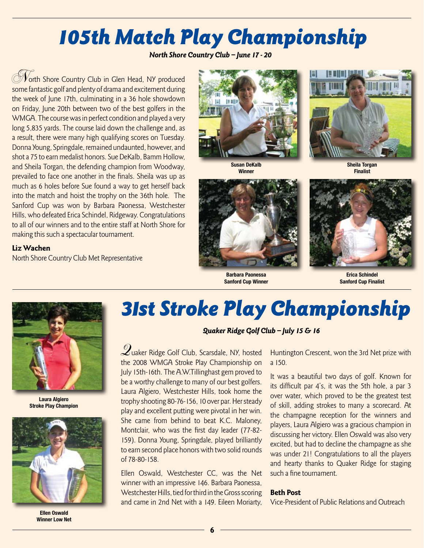# 105th Match Play Championship

North Shore Country Club – June 17 - 20

Vorth Shore Country Club in Glen Head, NY produced some fantastic golf and plenty of drama and excitement during the week of June 17th, culminating in a 36 hole showdown on Friday, June 20th between two of the best golfers in the WMGA. The course was in perfect condition and played a very long 5,835 yards. The course laid down the challenge and, as a result, there were many high qualifying scores on Tuesday. Donna Young, Springdale, remained undaunted, however, and shot a 75 to earn medalist honors. Sue DeKalb, Bamm Hollow, and Sheila Torgan, the defending champion from Woodway, prevailed to face one another in the finals. Sheila was up as much as 6 holes before Sue found a way to get herself back into the match and hoist the trophy on the 36th hole. The Sanford Cup was won by Barbara Paonessa, Westchester Hills, who defeated Erica Schindel, Ridgeway. Congratulations to all of our winners and to the entire staff at North Shore for making this such a spectacular tournament.

### Liz Wachen

North Shore Country Club Met Representative



**Susan DeKalb Winner**



**Barbara Paonessa Sanford Cup Winner**



**Erica Schindel Sanford Cup Finalist**



**Laura Algiero Stroke Play Champion**



**Ellen Oswald Winner Low Net**

## 31st Stroke Play Championship

### Quaker Ridge Golf Club – July 15 & 16

Quaker Ridge Golf Club, Scarsdale, NY, hosted the 2008 WMGA Stroke Play Championship on July 15th-16th. The A.W.Tillinghast gem proved to be a worthy challenge to many of our best golfers. Laura Algiero, Westchester Hills, took home the trophy shooting 80-76-156, 10 over par. Her steady play and excellent putting were pivotal in her win. She came from behind to beat K.C. Maloney, Montclair, who was the first day leader (77-82- 159). Donna Young, Springdale, played brilliantly to earn second place honors with two solid rounds of 78-80-158.

Ellen Oswald, Westchester CC, was the Net winner with an impressive 146. Barbara Paonessa, Westchester Hills, tied for third in the Gross scoring and came in 2nd Net with a 149. Eileen Moriarty,

Huntington Crescent, won the 3rd Net prize with a 150.

It was a beautiful two days of golf. Known for its difficult par 4's, it was the 5th hole, a par 3 over water, which proved to be the greatest test of skill, adding strokes to many a scorecard. At the champagne reception for the winners and players, Laura Algiero was a gracious champion in discussing her victory. Ellen Oswald was also very excited, but had to decline the champagne as she was under 21! Congratulations to all the players and hearty thanks to Quaker Ridge for staging such a fine tournament.

### Beth Post

Vice-President of Public Relations and Outreach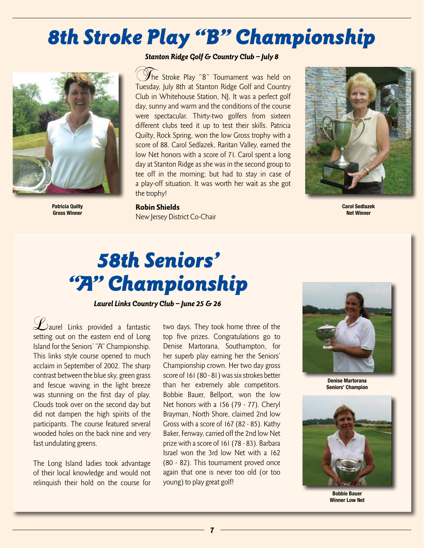## 8th Stroke Play "B" Championship



**Patricia Quilty Gross Winner**

### Stanton Ridge Golf & Country Club - July 8

 $\mathcal Y$ he Stroke Play "B" Tournament was held on Tuesday, July 8th at Stanton Ridge Golf and Country Club in Whitehouse Station, NJ. It was a perfect golf day, sunny and warm and the conditions of the course were spectacular. Thirty-two golfers from sixteen different clubs teed it up to test their skills. Patricia Quilty, Rock Spring, won the low Gross trophy with a score of 88. Carol Sedlazek, Raritan Valley, earned the low Net honors with a score of 71. Carol spent a long day at Stanton Ridge as she was in the second group to tee off in the morning; but had to stay in case of a play-off situation. It was worth her wait as she got the trophy!

Robin Shields New Jersey District Co-Chair



**Carol Sedlazek Net Winner**

## 58th Seniors' "A" Championship

Laurel Links Country Club – June 25 & 26

Laurel Links provided a fantastic setting out on the eastern end of Long Island for the Seniors' "A" Championship. This links style course opened to much acclaim in September of 2002. The sharp contrast between the blue sky, green grass and fescue waving in the light breeze was stunning on the first day of play. Clouds took over on the second day but did not dampen the high spirits of the participants. The course featured several wooded holes on the back nine and very fast undulating greens.

The Long Island ladies took advantage of their local knowledge and would not relinquish their hold on the course for two days. They took home three of the top five prizes. Congratulations go to Denise Martorana, Southampton, for her superb play earning her the Seniors' Championship crown. Her two day gross score of 161 (80 - 81) was six strokes better than her extremely able competitors. Bobbie Bauer, Bellport, won the low Net honors with a 156 (79 - 77). Cheryl Brayman, North Shore, claimed 2nd low Gross with a score of 167 (82 - 85). Kathy Baker, Fenway, carried off the 2nd low Net prize with a score of 161 (78 - 83). Barbara Israel won the 3rd low Net with a 162 (80 - 82). This tournament proved once again that one is never too old (or too young) to play great golf!



**Denise Martorana Seniors' Champion**



**Bobbie Bauer Winner Low Net**